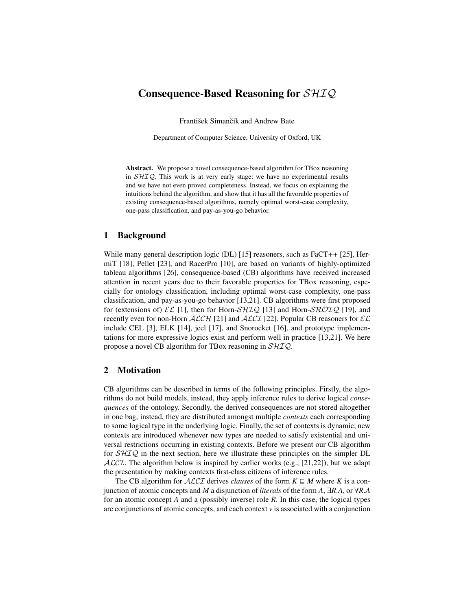# Consequence-Based Reasoning for SHIQ

František Simančík and Andrew Bate

Department of Computer Science, University of Oxford, UK

Abstract. We propose a novel consequence-based algorithm for TBox reasoning in  $\mathcal{SHIQ}$ . This work is at very early stage: we have no experimental results and we have not even proved completeness. Instead, we focus on explaining the intuitions behind the algorithm, and show that it has all the favorable properties of existing consequence-based algorithms, namely optimal worst-case complexity, one-pass classification, and pay-as-you-go behavior.

## 1 Background

While many general description logic (DL) [\[15\]](#page-11-0) reasoners, such as FaCT++ [\[25\]](#page-12-0), HermiT [\[18\]](#page-12-1), Pellet [\[23\]](#page-12-2), and RacerPro [\[10\]](#page-11-1), are based on variants of highly-optimized tableau algorithms [\[26\]](#page-12-3), consequence-based (CB) algorithms have received increased attention in recent years due to their favorable properties for TBox reasoning, especially for ontology classification, including optimal worst-case complexity, one-pass classification, and pay-as-you-go behavior [\[13,](#page-11-2)[21\]](#page-12-4). CB algorithms were first proposed for (extensions of)  $\mathcal{EL}$  [\[1\]](#page-11-3), then for Horn- $\mathcal{SHIQ}$  [\[13\]](#page-11-2) and Horn- $\mathcal{SROIQ}$  [\[19\]](#page-12-5), and recently even for non-Horn  $ALCH$  [\[21\]](#page-12-4) and  $ALCI$  [\[22\]](#page-12-6). Popular CB reasoners for  $EL$ include CEL [\[3\]](#page-11-4), ELK [\[14\]](#page-11-5), jcel [\[17\]](#page-11-6), and Snorocket [\[16\]](#page-11-7), and prototype implementations for more expressive logics exist and perform well in practice [\[13,](#page-11-2)[21\]](#page-12-4). We here propose a novel CB algorithm for TBox reasoning in SHIQ.

#### <span id="page-0-0"></span>2 Motivation

CB algorithms can be described in terms of the following principles. Firstly, the algorithms do not build models, instead, they apply inference rules to derive logical *consequences* of the ontology. Secondly, the derived consequences are not stored altogether in one bag, instead, they are distributed amongst multiple *contexts* each corresponding to some logical type in the underlying logic. Finally, the set of contexts is dynamic; new contexts are introduced whenever new types are needed to satisfy existential and universal restrictions occurring in existing contexts. Before we present our CB algorithm for  $\mathcal{SHIQ}$  in the next section, here we illustrate these principles on the simpler DL  $ALCL$ . The algorithm below is inspired by earlier works (e.g., [\[21](#page-12-4)[,22\]](#page-12-6)), but we adapt the presentation by making contexts first-class citizens of inference rules.

The CB algorithm for *ALCI* derives *clauses* of the form  $K \subseteq M$  where K is a conjunction of atomic concepts and *<sup>M</sup>* a disjunction of *literals* of the form *<sup>A</sup>*, <sup>∃</sup>*R*.*A*, or <sup>∀</sup>*R*.*<sup>A</sup>* for an atomic concept *A* and a (possibly inverse) role *R*. In this case, the logical types are conjunctions of atomic concepts, and each context *v* is associated with a conjunction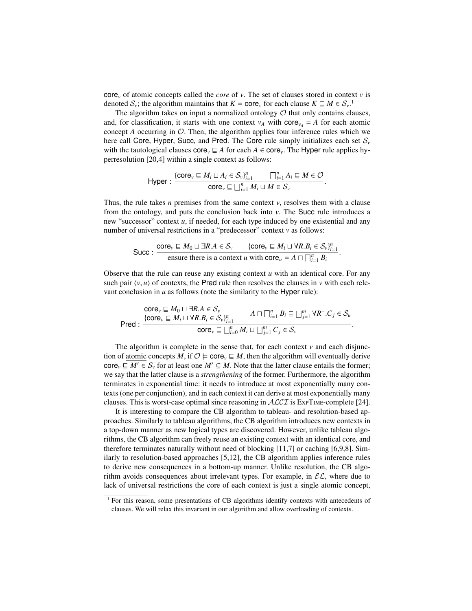core*<sup>v</sup>* of atomic concepts called the *core* of *v*. The set of clauses stored in context *v* is denoted  $S_v$ ; the algorithm maintains that  $K = \text{core}_v$  for each clause  $K \subseteq M \in S_v$ .<sup>1</sup>

The algorithm takes on input a normalized ontology  $O$  that only contains clauses, and, for classification, it starts with one context  $v_A$  with core<sub> $v_A$ </sub> = *A* for each atomic concept  $A$  occurring in  $O$ . Then, the algorithm applies four inference rules which we here call Core, Hyper, Succ, and Pred. The Core rule simply initializes each set  $S_\nu$ with the tautological clauses core<sub>v</sub>  $\subseteq$  *A* for each *A*  $\in$  core<sub>v</sub>. The Hyper rule applies hyperresolution [\[20,](#page-12-7)[4\]](#page-11-8) within a single context as follows:

$$
\mathsf{Hyper}:\frac{\{\mathsf{core}_{v}\sqsubseteq M_{i}\sqcup A_{i}\in \mathcal{S}_{v}\}_{i=1}^{n}}{\mathsf{core}_{v}\sqsubseteq \bigsqcup_{i=1}^{n} M_{i}\sqcup M\in \mathcal{S}_{v}}.
$$

Thus, the rule takes *n* premises from the same context *v*, resolves them with a clause from the ontology, and puts the conclusion back into *v*. The Succ rule introduces a new "successor" context *u*, if needed, for each type induced by one existential and any number of universal restrictions in a "predecessor" context *v* as follows:

$$
\text{Succ}: \frac{\text{core}_v \sqsubseteq M_0 \sqcup \exists R.A \in \mathcal{S}_v \qquad \{\text{core}_v \sqsubseteq M_i \sqcup \forall R.B_i \in \mathcal{S}_v\}_{i=1}^n}{\text{ensure there is a context } u \text{ with core}_u = A \sqcap \bigcap_{i=1}^n B_i}.
$$

Observe that the rule can reuse any existing context  $u$  with an identical core. For any such pair  $\langle v, u \rangle$  of contexts, the Pred rule then resolves the clauses in *v* with each relevant conclusion in *u* as follows (note the similarity to the Hyper rule):

$$
\text{Core}_{\nu} \sqsubseteq M_0 \sqcup \exists R.A \in \mathcal{S}_{\nu} \\
\text{Pred}: \frac{\{\text{core}_{\nu} \sqsubseteq M_i \sqcup \forall R.B_i \in \mathcal{S}_{\nu}\}_{i=1}^n}{\text{core}_{\nu} \sqsubseteq \bigsqcup_{i=0}^n M_i \sqcup \bigsqcup_{j=1}^m C_j \in \mathcal{S}_{\nu}}.
$$

The algorithm is complete in the sense that, for each context  $\nu$  and each disjunction of atomic concepts *M*, if  $\mathcal{O} \models \text{core}_{\nu} \sqsubseteq M$ , then the algorithm will eventually derive core<sub>*v*</sub>  $\subseteq$  *M'*  $\in$  *S<sub>v</sub>* for at least one *M'*  $\subseteq$  *M*. Note that the latter clause entails the former; we say that the latter clause is a *strengthening* of the former. Furthermore, the algorithm terminates in exponential time: it needs to introduce at most exponentially many contexts (one per conjunction), and in each context it can derive at most exponentially many clauses. This is worst-case optimal since reasoning in  $ALCI$  is  $ExPTIME$ -complete [\[24\]](#page-12-8).

It is interesting to compare the CB algorithm to tableau- and resolution-based approaches. Similarly to tableau algorithms, the CB algorithm introduces new contexts in a top-down manner as new logical types are discovered. However, unlike tableau algorithms, the CB algorithm can freely reuse an existing context with an identical core, and therefore terminates naturally without need of blocking [\[11,](#page-11-9)[7\]](#page-11-10) or caching [\[6](#page-11-11)[,9](#page-11-12)[,8\]](#page-11-13). Similarly to resolution-based approaches [\[5](#page-11-14)[,12\]](#page-11-15), the CB algorithm applies inference rules to derive new consequences in a bottom-up manner. Unlike resolution, the CB algorithm avoids consequences about irrelevant types. For example, in  $\mathcal{EL}$ , where due to lack of universal restrictions the core of each context is just a single atomic concept,

<sup>&</sup>lt;sup>1</sup> For this reason, some presentations of CB algorithms identify contexts with antecedents of clauses. We will relax this invariant in our algorithm and allow overloading of contexts.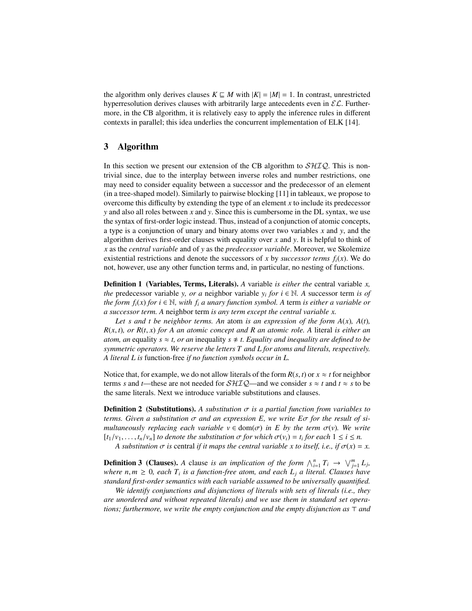the algorithm only derives clauses  $K \subseteq M$  with  $|K| = |M| = 1$ . In contrast, unrestricted hyperresolution derives clauses with arbitrarily large antecedents even in  $\mathcal{EL}$ . Furthermore, in the CB algorithm, it is relatively easy to apply the inference rules in different contexts in parallel; this idea underlies the concurrent implementation of ELK [\[14\]](#page-11-5).

# 3 Algorithm

In this section we present our extension of the CB algorithm to  $\mathcal{SHIQ}$ . This is nontrivial since, due to the interplay between inverse roles and number restrictions, one may need to consider equality between a successor and the predecessor of an element (in a tree-shaped model). Similarly to pairwise blocking [\[11\]](#page-11-9) in tableaux, we propose to overcome this difficulty by extending the type of an element *x* to include its predecessor *y* and also all roles between *x* and *y*. Since this is cumbersome in the DL syntax, we use the syntax of first-order logic instead. Thus, instead of a conjunction of atomic concepts, a type is a conjunction of unary and binary atoms over two variables *x* and *y*, and the algorithm derives first-order clauses with equality over *x* and *y*. It is helpful to think of *x* as the *central variable* and of *y* as the *predecessor variable*. Moreover, we Skolemize existential restrictions and denote the successors of *x* by *successor terms*  $f_i(x)$ . We do not, however, use any other function terms and, in particular, no nesting of functions.

Definition 1 (Variables, Terms, Literals). *A* variable *is either the* central variable *x, the* predecessor variable *y, or a* neighbor variable  $y_i$  *for*  $i \in \mathbb{N}$ . A successor term *is of the form f*<sub>*i*</sub>(*x*) *for i*  $\in \mathbb{N}$ *, with f<sub>i</sub> a unary function symbol. A term is either a variable or a successor term. A* neighbor term *is any term except the central variable x.*

Let s and t be neighbor terms. An atom is an expression of the form  $A(x)$ ,  $A(t)$ , *<sup>R</sup>*(*x*, *<sup>t</sup>*)*, or R*(*t*, *<sup>x</sup>*) *for A an atomic concept and R an atomic role. A* literal *is either an atom, an* equality  $s \approx t$ , or an inequality  $s \not\approx t$ . Equality and inequality are defined to be *symmetric operators. We reserve the letters T and L for atoms and literals, respectively. A literal L is* function-free *if no function symbols occur in L.*

Notice that, for example, we do not allow literals of the form  $R(s, t)$  or  $x \approx t$  for neighbor terms *s* and *t*—these are not needed for  $\mathcal{SHIQ}$ —and we consider  $s \approx t$  and  $t \approx s$  to be the same literals. Next we introduce variable substitutions and clauses.

**Definition 2** (Substitutions). A substitution  $\sigma$  is a partial function from variables to *terms. Given a substitution* σ *and an expression E, we write E*σ *for the result of simultaneously replacing each variable*  $v \in \text{dom}(\sigma)$  *in E by the term*  $\sigma(v)$ *. We write*  $[t_1/v_1, \ldots, t_n/v_n]$  *to denote the substitution*  $\sigma$  *for which*  $\sigma(v_i) = t_i$  *for each*  $1 \le i \le n$ .<br>A substitution  $\sigma$  is central if it mans the central variable x to itself *i.e.* if  $\sigma(x)$ 

*A substitution*  $\sigma$  *is* central *if it maps the central variable x to itself, i.e., if*  $\sigma(x) = x$ .

**Definition 3 (Clauses).** A clause is an implication of the form  $\bigwedge_{i=1}^{n} T_i \to \bigvee_{j=1}^{m} L_j$ , *where*  $n,m \geq 0$ , each  $T_i$  is a function-free atom, and each  $L_j$  a literal. Clauses have<br>*standard first-order semantics with each variable assumed to be universally quantified standard first-order semantics with each variable assumed to be universally quantified.*

*We identify conjunctions and disjunctions of literals with sets of literals (i.e., they are unordered and without repeated literals) and we use them in standard set operations; furthermore, we write the empty conjunction and the empty disjunction as*  $\top$  *and*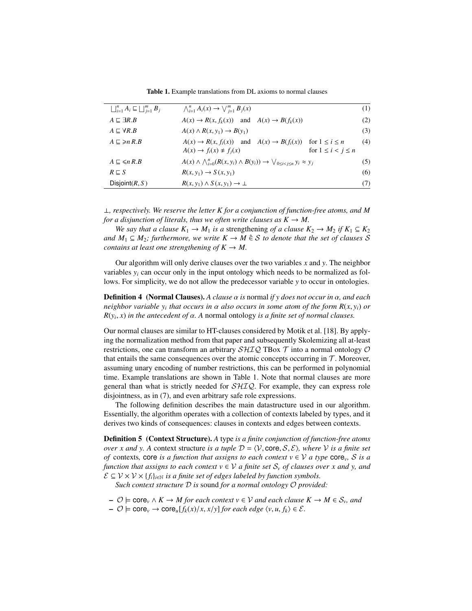<span id="page-3-1"></span><span id="page-3-0"></span>Table 1. Example translations from DL axioms to normal clauses

| $\bigsqcup_{i=1}^n A_i \sqsubseteq \bigsqcup_{i=1}^m B_i$ | $\bigwedge_{i=1}^{n} A_i(x) \rightarrow \bigvee_{i=1}^{m} B_i(x)$                                                     | (1) |
|-----------------------------------------------------------|-----------------------------------------------------------------------------------------------------------------------|-----|
| $A \sqsubseteq \exists R.B$                               | $A(x) \rightarrow R(x, f_k(x))$ and $A(x) \rightarrow B(f_k(x))$                                                      | (2) |
| $A \sqsubset \forall R.B$                                 | $A(x) \wedge R(x, y_1) \rightarrow B(y_1)$                                                                            | (3) |
| $A \sqsubseteq \geq nR.B$                                 | $A(x) \to R(x, f_i(x))$ and $A(x) \to B(f_i(x))$ for $1 \le i \le n$                                                  | (4) |
|                                                           | for $1 \leq i < j \leq n$<br>$A(x) \rightarrow f_i(x) \not\approx f_i(x)$                                             |     |
| $A \sqsubseteq \leq n R.B$                                | $A(x) \wedge \bigwedge_{i=0}^{n} (R(x, y_i) \wedge B(y_i)) \rightarrow \bigvee_{0 \le i \le i \le n} y_i \approx y_j$ | (5) |
| $R \sqsubseteq S$                                         | $R(x, y_1) \rightarrow S(x, y_1)$                                                                                     | (6) |
| Disjoint $(R, S)$                                         | $R(x, y_1) \wedge S(x, y_1) \rightarrow \perp$                                                                        | (7) |
|                                                           |                                                                                                                       |     |

⊥*, respectively. We reserve the letter K for a conjunction of function-free atoms, and M for a disjunction of literals, thus we often write clauses as*  $K \to M$ .

*We say that a clause*  $K_1 \rightarrow M_1$  *is a strengthening of a clause*  $K_2 \rightarrow M_2$  *if*  $K_1 \subseteq K_2$ *and*  $M_1$  ⊆  $M_2$ *; furthermore, we write*  $K \to M \oplus S$  *to denote that the set of clauses* S *contains at least one strengthening of*  $K \to M$ .

Our algorithm will only derive clauses over the two variables *x* and *y*. The neighbor variables *y<sup>i</sup>* can occur only in the input ontology which needs to be normalized as follows. For simplicity, we do not allow the predecessor variable *y* to occur in ontologies.

Definition 4 (Normal Clauses). *A clause* α *is* normal *if y does not occur in* α*, and each neighbor variable y<sub>i</sub>* that occurs in  $\alpha$  *also occurs in some atom of the form R(x, y<sub>i</sub>) <i>or*  $R(x, y)$  *n*  $R(y, y)$  *is a finite set of normal clauses*  $R(y_i, x)$  *in the antecedent of*  $\alpha$ *.* A normal ontology *is a finite set of normal clauses.* 

Our normal clauses are similar to HT-clauses considered by Motik et al. [\[18\]](#page-12-1). By applying the normalization method from that paper and subsequently Skolemizing all at-least restrictions, one can transform an arbitrary  $\mathcal{SHIQ}$  TBox  $\mathcal T$  into a normal ontology  $\mathcal O$ that entails the same consequences over the atomic concepts occurring in  $\mathcal T$ . Moreover, assuming unary encoding of number restrictions, this can be performed in polynomial time. Example translations are shown in Table [1.](#page-3-0) Note that normal clauses are more general than what is strictly needed for  $\mathcal{SHIQ}$ . For example, they can express role disjointness, as in [\(7\)](#page-3-1), and even arbitrary safe role expressions.

The following definition describes the main datastructure used in our algorithm. Essentially, the algorithm operates with a collection of contexts labeled by types, and it derives two kinds of consequences: clauses in contexts and edges between contexts.

Definition 5 (Context Structure). *A* type *is a finite conjunction of function-free atoms over x and y. A context structure is a tuple*  $D = \langle V, \text{core}, S, \mathcal{E} \rangle$ *, where* V *is a finite set of* contexts, core *is a function that assigns to each context*  $v \in V$  *a type* core<sub>v</sub>, *S is a function that assigns to each context*  $v \in V$  *a finite set*  $S_v$  *of clauses over x and y, and*  $\mathcal{E} \subseteq \mathcal{V} \times \mathcal{V} \times \{f_i\}_{i \in \mathbb{N}}$  *is a finite set of edges labeled by function symbols.* 

*Such context structure* D *is* sound *for a normal ontology* O *provided:*

- $\rightarrow$   $\emptyset$   $\models$  core<sub>*v*</sub> ∧ *K*  $\rightarrow$  *M* for each context  $v \in V$  and each clause  $K \rightarrow M \in S_v$ , and
- <sup>O</sup> <sup>|</sup><sup>=</sup> core*<sup>v</sup>* <sup>→</sup> core*u*[*fk*(*x*)/*x*, *<sup>x</sup>*/*y*] *for each edge* <sup>h</sup>*v*, *<sup>u</sup>*, *<sup>f</sup>k*i ∈ <sup>E</sup>*.*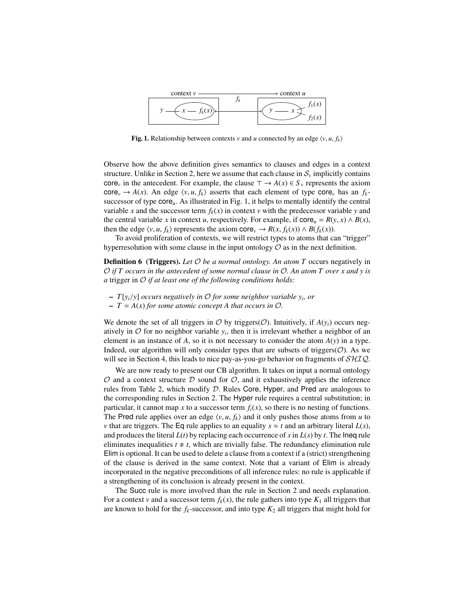

<span id="page-4-0"></span>**Fig. 1.** Relationship between contexts *v* and *u* connected by an edge  $\langle v, u, f_k \rangle$ 

Observe how the above definition gives semantics to clauses and edges in a context structure. Unlike in Section [2,](#page-0-0) here we assume that each clause in  $S_\nu$  implicitly contains core<sub>v</sub> in the antecedent. For example, the clause  $\tau \to A(x) \in S_y$  represents the axiom  $\text{core}_v \rightarrow A(x)$ . An edge  $\langle v, u, f_k \rangle$  asserts that each element of type core<sub>v</sub> has an  $f_k$ successor of type core*u*. As illustrated in Fig. [1,](#page-4-0) it helps to mentally identify the central variable *x* and the successor term  $f_k(x)$  in context *v* with the predecessor variable *y* and the central variable *x* in context *u*, respectively. For example, if  $\text{core}_u = R(y, x) \wedge B(x)$ , then the edge  $\langle v, u, f_k \rangle$  represents the axiom core $v \to R(x, f_k(x)) \land B(f_k(x))$ .

To avoid proliferation of contexts, we will restrict types to atoms that can "trigger" hyperresolution with some clause in the input ontology  $\mathcal O$  as in the next definition.

Definition 6 (Triggers). *Let* O *be a normal ontology. An atom T* occurs negatively in O *if T occurs in the antecedent of some normal clause in* O*. An atom T over x and y is a* trigger in O *if at least one of the following conditions holds:*

- $-T[y_i/y]$  *occurs negatively in*  $\mathcal O$  *for some neighbor variable y<sub>i</sub>, or*  $T A(x)$  *for some atomic concent* A *that occurs in*  $\mathcal O$
- $T = A(x)$  *for some atomic concept* A that occurs in  $\mathcal{O}$ *.*

We denote the set of all triggers in  $O$  by triggers( $O$ ). Intuitively, if  $A(y_i)$  occurs negatively in  $O$  for no neighbor variable  $y_i$ , then it is irrelevant whether a neighbor of an element is an instance of  $A$ , so it is not necessary to consider the atom  $A(y)$  in a type. Indeed, our algorithm will only consider types that are subsets of triggers $(\mathcal{O})$ . As we will see in Section [4,](#page-8-0) this leads to nice pay-as-you-go behavior on fragments of  $\mathcal{SHIQ}$ .

We are now ready to present our CB algorithm. It takes on input a normal ontology  $\mathcal O$  and a context structure  $\mathcal D$  sound for  $\mathcal O$ , and it exhaustively applies the inference rules from Table [2,](#page-5-0) which modify D. Rules Core, Hyper, and Pred are analogous to the corresponding rules in Section [2.](#page-0-0) The Hyper rule requires a central substitution; in particular, it cannot map *x* to a successor term  $f_i(x)$ , so there is no nesting of functions. The Pred rule applies over an edge  $\langle v, u, f_k \rangle$  and it only pushes those atoms from *u* to *v* that are triggers. The Eq rule applies to an equality  $s \approx t$  and an arbitrary literal  $L(s)$ , and produces the literal  $L(t)$  by replacing each occurrence of *s* in  $L(s)$  by *t*. The lneq rule eliminates inequalities  $t \neq t$ , which are trivially false. The redundancy elimination rule Elim is optional. It can be used to delete a clause from a context if a (strict) strengthening of the clause is derived in the same context. Note that a variant of Elim is already incorporated in the negative preconditions of all inference rules: no rule is applicable if a strengthening of its conclusion is already present in the context.

The Succ rule is more involved than the rule in Section [2](#page-0-0) and needs explanation. For a context *v* and a successor term  $f_k(x)$ , the rule gathers into type  $K_1$  all triggers that are known to hold for the  $f_k$ -successor, and into type  $K_2$  all triggers that might hold for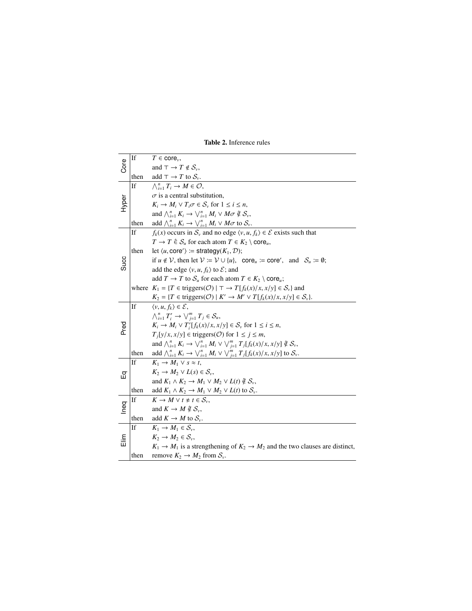|       | If        | $T \in \text{core}_{v}$ ,                                                                                        |
|-------|-----------|------------------------------------------------------------------------------------------------------------------|
| Core  |           |                                                                                                                  |
|       |           | and $\top \to T \notin \mathcal{S}_{\nu}$ ,                                                                      |
|       | then      | add $\top \rightarrow T$ to $S_{\nu}$ .                                                                          |
|       | If        | $\bigwedge_{i=1}^{n} T_i \to M \in \mathcal{O},$                                                                 |
| Hyper |           | $\sigma$ is a central substitution,                                                                              |
|       |           | $K_i \to M_i \vee T_i \sigma \in S_\nu$ for $1 \leq i \leq n$ ,                                                  |
|       |           | and $\bigwedge_{i=1}^{n} K_i \to \bigvee_{i=1}^{n} M_i \vee M\sigma \notin \mathcal{S}_{\nu}$ ,                  |
|       | then      | add $\bigwedge_{i=1}^n K_i \to \bigvee_{i=1}^n M_i \vee M\sigma$ to $S_\nu$ .                                    |
| Succ  | If        | $f_k(x)$ occurs in $S_v$ and no edge $\langle v, u, f_k \rangle \in \mathcal{E}$ exists such that                |
|       |           | $T \to T \in S_u$ for each atom $T \in K_2 \setminus \text{core}_u$ ,                                            |
|       | then      | let $\langle u, \text{core'} \rangle \coloneqq$ strategy $(K_1, \mathcal{D})$ ;                                  |
|       |           | if $u \notin V$ , then let $V := V \cup \{u\}$ , core <sub>u</sub> := core', and $S_u := \emptyset$ ;            |
|       |           | add the edge $\langle v, u, f_k \rangle$ to $\mathcal{E}$ ; and                                                  |
|       |           | add $T \to T$ to $S_u$ for each atom $T \in K_2 \setminus \text{core}_u$ ;                                       |
|       |           | where $K_1 = \{T \in \text{triggers}(\mathcal{O}) \mid \top \to T[f_k(x)/x, x/y] \in \mathcal{S}_v\}$ and        |
|       |           | $K_2 = \{T \in \text{triggers}(\mathcal{O}) \mid K' \to M' \lor T[f_k(x)/x, x/y] \in \mathcal{S}_\nu\}.$         |
| Pred  | If        | $\langle v, u, f_k \rangle \in \mathcal{E}$ .                                                                    |
|       |           | $\bigwedge_{i=1}^{n} T'_{i} \to \bigvee_{i=1}^{m} T_{i} \in \mathcal{S}_{u}$                                     |
|       |           | $K_i \to M_i \vee T'_i[f_k(x)/x, x/y] \in S_v$ for $1 \le i \le n$ ,                                             |
|       |           | $T_i[y/x, x/y] \in \text{triggers}(\mathcal{O}) \text{ for } 1 \leq j \leq m,$                                   |
|       |           | and $\bigwedge_{i=1}^{n} K_i \to \bigvee_{i=1}^{n} M_i \vee \bigvee_{i=1}^{m} T_j[f_k(x)/x, x/y] \notin S_{\nu}$ |
|       | then      | add $\bigwedge_{i=1}^{n} K_i \to \bigvee_{i=1}^{n} M_i \vee \bigvee_{j=1}^{m} T_j[f_k(x)/x, x/y]$ to $S_{\nu}$ . |
| 品     | <b>If</b> | $K_1 \rightarrow M_1 \vee s \approx t$ .                                                                         |
|       |           | $K_2 \to M_2 \vee L(s) \in S_{\omega}$                                                                           |
|       |           | and $K_1 \wedge K_2 \rightarrow M_1 \vee M_2 \vee L(t) \notin S_v$ ,                                             |
|       | then      | add $K_1 \wedge K_2 \rightarrow M_1 \vee M_2 \vee L(t)$ to $S_v$ .                                               |
|       | If        | $K \to M \vee t \not\approx t \in S_{\cdots}$                                                                    |
| Ineq  |           | and $K \to M \nsubseteq \mathcal{S}_v$ ,                                                                         |
|       | then      | add $K \to M$ to $S_{\nu}$ .                                                                                     |
| 高     | If        | $K_1 \rightarrow M_1 \in \mathcal{S}_v$ .                                                                        |
|       |           | $K_2 \to M_2 \in \mathcal{S}_v$ .                                                                                |
|       |           | $K_1 \rightarrow M_1$ is a strengthening of $K_2 \rightarrow M_2$ and the two clauses are distinct,              |
|       | then      | remove $K_2 \to M_2$ from $S_v$ .                                                                                |

<span id="page-5-0"></span>Table 2. Inference rules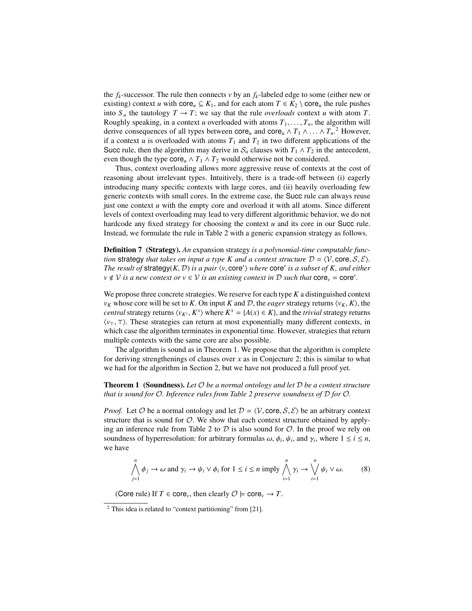the  $f_k$ -successor. The rule then connects  $\nu$  by an  $f_k$ -labeled edge to some (either new or existing) context *u* with core<sub>*u*</sub>  $\subseteq$  *K*<sub>1</sub>, and for each atom *T*  $\in$  *K*<sub>2</sub> \ core<sub>*u*</sub> the rule pushes into  $S_u$  the tautology  $T \to T$ ; we say that the rule *overloads* context *u* with atom *T*. Roughly speaking, in a context *u* overloaded with atoms  $T_1, \ldots, T_n$ , the algorithm will derive consequences of all types between core<sub>u</sub> and core<sub>u</sub>  $\wedge T_1 \wedge \dots \wedge T_n$ <sup>2</sup>. However, if a context u is overloaded with atoms  $T_1$  and  $T_2$  in two different applications of the if a context *u* is overloaded with atoms  $T_1$  and  $T_2$  in two different applications of the Succ rule, then the algorithm may derive in  $S_u$  clauses with  $T_1 \wedge T_2$  in the antecedent, even though the type core<sub>u</sub>  $\wedge T_1 \wedge T_2$  would otherwise not be considered.

Thus, context overloading allows more aggressive reuse of contexts at the cost of reasoning about irrelevant types. Intuitively, there is a trade-off between (i) eagerly introducing many specific contexts with large cores, and (ii) heavily overloading few generic contexts with small cores. In the extreme case, the Succ rule can always reuse just one context  $u$  with the empty core and overload it with all atoms. Since different levels of context overloading may lead to very different algorithmic behavior, we do not hardcode any fixed strategy for choosing the context *u* and its core in our Succ rule. Instead, we formulate the rule in Table [2](#page-5-0) with a generic expansion strategy as follows.

<span id="page-6-2"></span>Definition 7 (Strategy). *An* expansion strategy *is a polynomial-time computable function* strategy *that takes on input a type K and a context structure*  $D = \langle V, \text{core}, S, \mathcal{E} \rangle$ *. The result of strategy*(*K, D) is a pair*  $\langle v, \text{core'} \rangle$  *where*  $\text{core'}$  *is a subset of K, and either*  $v \notin \mathcal{V}$  *is a new context or*  $v \in \mathcal{V}$  *is a generiting context in D such that*  $\text{core} - \text{core'}$  $v \notin V$  *is a new context or*  $v \in V$  *is an existing context in*  $D$  *such that*  $\text{core}_v = \text{core}'.$ 

We propose three concrete strategies. We reserve for each type *K* a distinguished context *v<sub>K</sub>* whose core will be set to *K*. On input *K* and *D*, the *eager* strategy returns  $\langle v_K, K \rangle$ , the *central* strategy returns  $\langle v_{K^x}, K^x \rangle$  where  $K^x = \{A(x) \in K\}$ , and the *trivial* strategy returns  $\langle v_x, \tau \rangle$ . These strategies can return at most exponentially many different contexts in  $\langle v_\tau, \tau \rangle$ . These strategies can return at most exponentially many different contexts, in which case the algorithm terminates in exponential time. However, strategies that return multiple contexts with the same core are also possible.

The algorithm is sound as in Theorem [1.](#page-6-0) We propose that the algorithm is complete for deriving strengthenings of clauses over *x* as in Conjecture [2;](#page-7-0) this is similar to what we had for the algorithm in Section [2,](#page-0-0) but we have not produced a full proof yet.

#### <span id="page-6-0"></span>Theorem 1 (Soundness). *Let* O *be a normal ontology and let* D *be a context structure that is sound for* O*. Inference rules from Table [2](#page-5-0) preserve soundness of* D *for* O*.*

*Proof.* Let  $\mathcal O$  be a normal ontology and let  $\mathcal D = \langle \mathcal V, \text{core}, \mathcal S, \mathcal E \rangle$  be an arbitrary context structure that is sound for  $O$ . We show that each context structure obtained by apply-ing an inference rule from Table [2](#page-5-0) to  $D$  is also sound for  $O$ . In the proof we rely on soundness of hyperresolution: for arbitrary formulas  $ω$ ,  $φ<sub>i</sub>$ ,  $ψ<sub>i</sub>$ , and  $γ<sub>i</sub>$ , where  $1 ≤ i ≤ n$ , we have we have

<span id="page-6-1"></span>
$$
\bigwedge_{j=1}^{n} \phi_j \to \omega \text{ and } \gamma_i \to \psi_i \vee \phi_i \text{ for } 1 \leq i \leq n \text{ imply } \bigwedge_{i=1}^{n} \gamma_i \to \bigvee_{i=1}^{n} \psi_i \vee \omega. \tag{8}
$$

(Core rule) If  $T \in \text{core}_{\nu}$ , then clearly  $\mathcal{O} \models \text{core}_{\nu} \rightarrow T$ .

 $2$  This idea is related to "context partitioning" from [\[21\]](#page-12-4).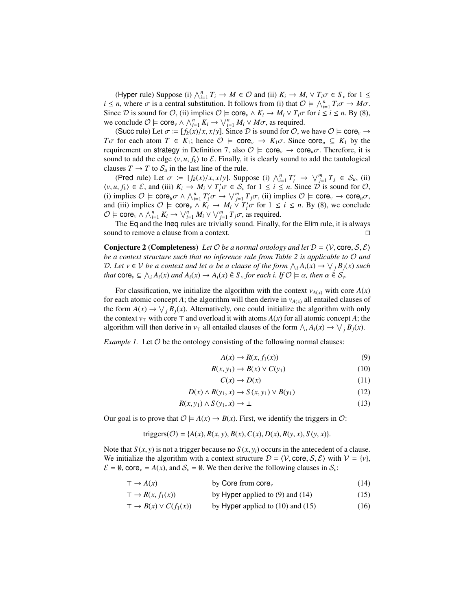(Hyper rule) Suppose (i)  $\bigwedge_{i=1}^{n} T_i \to M \in \mathcal{O}$  and (ii)  $K_i \to M_i \vee T_i \sigma \in S_\nu$  for  $1 \leq n$  where  $\sigma$  is a central substitution. It follows from (i) that  $\mathcal{O} \vdash \wedge^n T \sigma \to M \sigma$ *i*  $\leq n$ , where  $\sigma$  is a central substitution. It follows from (i) that  $\mathcal{O} \models \bigwedge_{i=1}^{n} T_i \sigma \rightarrow M \sigma$ .<br>Since  $\mathcal{D}$  is sound for  $\mathcal{O}$  (ii) implies  $\mathcal{O} \models \text{core} \land K \rightarrow M \lor T \sigma$  for  $i \leq i \leq n$  By (8) Since D is sound for  $\mathcal{O}$ , (ii) implies  $\mathcal{O} \models \text{core}_v \land K_i \rightarrow M_i \lor T_i \sigma$  for  $i \le i \le n$ . By [\(8\)](#page-6-1), we conclude  $\mathcal{O} \models \text{core}_v \land \bigwedge_{i=1}^n K_i \rightarrow \bigvee_{i=1}^n M_i \lor M\sigma$ , as required.<br>(Succ rule) Let  $\sigma := [f(v)/x, v/v]$  Since  $\mathcal{D}$  is sound for  $\mathcal{O}$  w

(Succ rule) Let  $\sigma = [f_k(x)/x, x/y]$ . Since D is sound for O, we have  $\mathcal{O} \models \text{core}_v \rightarrow$ *T*σ for each atom  $T \in K_1$ ; hence  $\mathcal{O} \models$  core<sub>*v*</sub>  $\rightarrow K_1 \sigma$ . Since core<sub>*u*</sub>  $\subseteq K_1$  by the requirement on strategy in Definition [7,](#page-6-2) also  $\mathcal{O} \models \text{core}_{\nu} \rightarrow \text{core}_{\nu} \sigma$ . Therefore, it is sound to add the edge  $\langle v, u, f_k \rangle$  to  $\mathcal{E}$ . Finally, it is clearly sound to add the tautological clauses  $T \to T$  to  $S_u$  in the last line of the rule.

(Pred rule) Let  $\sigma := [f_k(x)/x, x/y]$ . Suppose (i)  $\bigwedge_{i=1}^n T'_i \to \bigvee_{i=1}^m T_i \in S_u$ , (ii)  $\iota \in S$  and (iii)  $K \to M$ .  $\vee T' \sigma \in S$  for  $1 \le i \le n$ . Since  $\overline{D}$  is sound for (2)  $\langle v, u, f_k \rangle \in \mathcal{E}$ , and (iii)  $K_i \to M_i \vee T'_i \sigma \in \mathcal{S}_v$  for  $1 \le i \le n$ . Since  $\mathcal{D}$  is sound for  $\mathcal{O},$ <br>(i) implies  $\mathcal{O} \vdash \text{core } \sigma \wedge \wedge^n T' \sigma \to \vee^m T \sigma$  (ii) implies  $\mathcal{O} \vdash \text{core } \to \text{core } \sigma$ (i) implies  $\mathcal{O} \models \text{core}_u \sigma \land \bigwedge_{i=1}^n T_i' \sigma \rightarrow \bigvee_{j=1}^m T_j \sigma$ , (ii) implies  $\mathcal{O} \models \text{core}_v \rightarrow \text{core}_u \sigma$ ,<br>and (iii) implies  $\mathcal{O} \models \text{core}_v \land K_i \rightarrow M_i \lor T_i' \sigma$  for  $1 \le i \le n$ . By [\(8\)](#page-6-1), we conclude<br> $\mathcal{O} \models \text{core}_v \land \bigwedge^n K_i \rightarrow \big$  $\mathcal{O} \models \text{core}_v \land \bigwedge_{i=1}^n K_i \rightarrow \bigvee_{i=1}^n M_i \lor \bigvee_{j=1}^m T_j \sigma$ , as required.<br>The Eq and the loop rules are trivially sound Finally

The Eq and the Ineq rules are trivially sound. Finally, for the Elim rule, it is always sound to remove a clause from a context.  $\Box$ 

<span id="page-7-0"></span>**Conjecture 2 (Completeness)** Let  $\mathcal{O}$  be a normal ontology and let  $\mathcal{D} = \langle \mathcal{V}, \text{core}, \mathcal{S}, \mathcal{E} \rangle$ *be a context structure such that no inference rule from Table [2](#page-5-0) is applicable to* O *and* D. Let  $v \in V$  *be a context and let*  $\alpha$  *be a clause of the form*  $\wedge_i A_i(x) \rightarrow \vee_j B_j(x)$  *such* that core  $\subseteq \wedge_i A_i(x)$  and  $A_i(x) \rightarrow A_i(x)$   $\subseteq S$ , for each  $i$ , if  $\emptyset \vdash \alpha$ , then  $\alpha \in S$ *that*  $\text{core}_v \subseteq \bigwedge_i A_i(x) \text{ and } A_i(x) \to A_i(x) \in S_v \text{ for each } i \text{. If } O \models \alpha, \text{ then } \alpha \in S_v.$ 

For classification, we initialize the algorithm with the context  $v_{A(x)}$  with core  $A(x)$ for each atomic concept *A*; the algorithm will then derive in  $v_{A(x)}$  all entailed clauses of the form  $A(x) \rightarrow \bigvee_j B_j(x)$ . Alternatively, one could initialize the algorithm with only the context  $v_\tau$  with core  $\tau$  and overload it with atoms  $A(x)$  for all atomic concept A; the algorithm will then derive in  $v_\tau$  all entailed clauses of the form  $\bigwedge_i A_i(x) \to \bigvee_j B_j(x)$ .

*Example 1.* Let  $\mathcal O$  be the ontology consisting of the following normal clauses:

<span id="page-7-8"></span><span id="page-7-7"></span><span id="page-7-5"></span><span id="page-7-3"></span><span id="page-7-1"></span>
$$
A(x) \to R(x, f_1(x)) \tag{9}
$$

$$
R(x, y_1) \to B(x) \lor C(y_1)
$$
\n(10)

<span id="page-7-6"></span><span id="page-7-4"></span><span id="page-7-2"></span>
$$
C(x) \to D(x) \tag{11}
$$

$$
D(x) \wedge R(y_1, x) \rightarrow S(x, y_1) \vee B(y_1)
$$
\n
$$
(12)
$$
\n
$$
(13)
$$

$$
R(x, y_1) \wedge S(y_1, x) \to \bot
$$
 (13)

Our goal is to prove that  $\mathcal{O} \models A(x) \rightarrow B(x)$ . First, we identify the triggers in  $\mathcal{O}$ :

triggers(*O*) = {
$$
A(x), R(x, y), B(x), C(x), D(x), R(y, x), S(y, x)
$$
 }.

Note that  $S(x, y)$  is not a trigger because no  $S(x, y_i)$  occurs in the antecedent of a clause. We initialize the algorithm with a context structure  $\mathcal{D} = \langle \mathcal{V}, \text{core}, \mathcal{S}, \mathcal{E} \rangle$  with  $\mathcal{V} = \{v\}$ ,  $\mathcal{E} = \emptyset$ , core<sub>v</sub> =  $A(x)$ , and  $S_y = \emptyset$ . We then derive the following clauses in  $S_y$ .

$$
\top \to A(x) \qquad \qquad \text{by Core from core}_v \tag{14}
$$

$$
\tau \to R(x, f_1(x)) \qquad \text{by Hyper applied to (9) and (14)} \tag{15}
$$

$$
\tau \to B(x) \lor C(f_1(x)) \qquad \text{by Hyper applied to (10) and (15)} \tag{16}
$$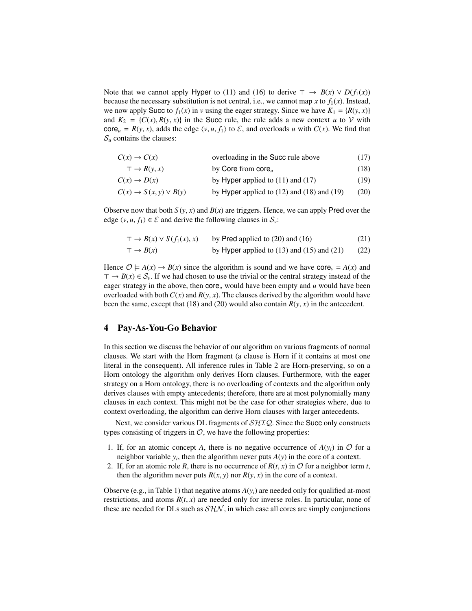Note that we cannot apply Hyper to [\(11\)](#page-7-5) and [\(16\)](#page-7-6) to derive  $\tau \to B(x) \vee D(f_1(x))$ because the necessary substitution is not central, i.e., we cannot map *x* to  $f_1(x)$ . Instead, we now apply Succ to  $f_1(x)$  in *v* using the eager strategy. Since we have  $K_1 = \{R(y, x)\}\$ and  $K_2 = \{C(x), R(y, x)\}\$ in the Succ rule, the rule adds a new context *u* to V with core<sub>u</sub> =  $R(y, x)$ , adds the edge  $\langle v, u, f_1 \rangle$  to  $\mathcal{E}$ , and overloads *u* with  $C(x)$ . We find that  $S_u$  contains the clauses:

<span id="page-8-2"></span><span id="page-8-1"></span>

| $C(x) \rightarrow C(x)$              | overloading in the Succ rule above               | (17) |
|--------------------------------------|--------------------------------------------------|------|
| $\top \rightarrow R(\nu, x)$         | by Core from $core_u$                            | (18) |
| $C(x) \rightarrow D(x)$              | by Hyper applied to $(11)$ and $(17)$            | (19) |
| $C(x) \rightarrow S(x, y) \vee B(y)$ | by Hyper applied to $(12)$ and $(18)$ and $(19)$ | (20) |
|                                      |                                                  |      |

Observe now that both  $S(y, x)$  and  $B(x)$  are triggers. Hence, we can apply Pred over the edge  $\langle v, u, f_1 \rangle \in \mathcal{E}$  and derive the following clauses in  $\mathcal{S}_v$ :

<span id="page-8-5"></span><span id="page-8-4"></span><span id="page-8-3"></span>

| $\tau \to B(x) \vee S(f_1(x), x)$ | by Pred applied to $(20)$ and $(16)$             | (21) |
|-----------------------------------|--------------------------------------------------|------|
| $\top \rightarrow B(x)$           | by Hyper applied to $(13)$ and $(15)$ and $(21)$ | (22) |

Hence  $\mathcal{O} \models A(x) \rightarrow B(x)$  since the algorithm is sound and we have core<sub>v</sub> =  $A(x)$  and  $\tau \to B(x) \in S_\nu$ . If we had chosen to use the trivial or the central strategy instead of the eager strategy in the above, then  $\text{core}_u$  would have been empty and  $u$  would have been overloaded with both  $C(x)$  and  $R(y, x)$ . The clauses derived by the algorithm would have been the same, except that [\(18\)](#page-8-2) and [\(20\)](#page-8-4) would also contain  $R(y, x)$  in the antecedent.

#### <span id="page-8-0"></span>4 Pay-As-You-Go Behavior

In this section we discuss the behavior of our algorithm on various fragments of normal clauses. We start with the Horn fragment (a clause is Horn if it contains at most one literal in the consequent). All inference rules in Table [2](#page-5-0) are Horn-preserving, so on a Horn ontology the algorithm only derives Horn clauses. Furthermore, with the eager strategy on a Horn ontology, there is no overloading of contexts and the algorithm only derives clauses with empty antecedents; therefore, there are at most polynomially many clauses in each context. This might not be the case for other strategies where, due to context overloading, the algorithm can derive Horn clauses with larger antecedents.

Next, we consider various DL fragments of  $\mathcal{SHIQ}$ . Since the Succ only constructs types consisting of triggers in  $\mathcal{O}$ , we have the following properties:

- 1. If, for an atomic concept A, there is no negative occurrence of  $A(y_i)$  in  $\mathcal O$  for a neighbor variable  $y_i$ , then the algorithm never puts  $A(y)$  in the core of a context.
- 2. If, for an atomic role *R*, there is no occurrence of  $R(t, x)$  in  $O$  for a neighbor term *t*, then the algorithm never puts  $R(x, y)$  nor  $R(y, x)$  in the core of a context.

Observe (e.g., in Table [1\)](#page-3-0) that negative atoms  $A(y_i)$  are needed only for qualified at-most restrictions, and atoms  $R(t, x)$  are needed only for inverse roles. In particular, none of these are needed for DLs such as  $S<sub>H</sub>N$ , in which case all cores are simply conjunctions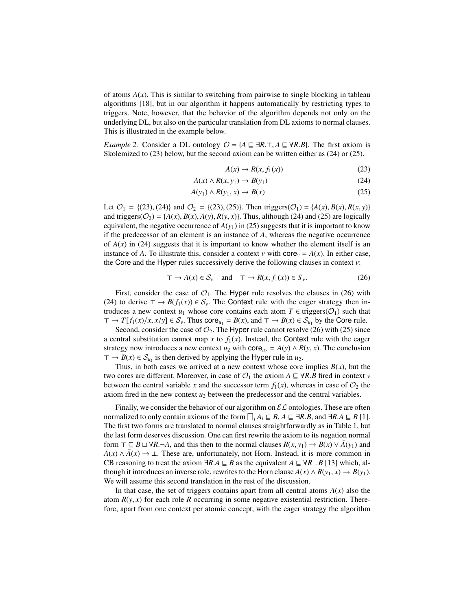of atoms  $A(x)$ . This is similar to switching from pairwise to single blocking in tableau algorithms [\[18\]](#page-12-1), but in our algorithm it happens automatically by restricting types to triggers. Note, however, that the behavior of the algorithm depends not only on the underlying DL, but also on the particular translation from DL axioms to normal clauses. This is illustrated in the example below.

*Example 2.* Consider a DL ontology  $O = \{A \sqsubseteq \exists R.\top, A \sqsubseteq \forall R.B\}$ . The first axiom is Skolemized to [\(23\)](#page-9-0) below, but the second axiom can be written either as [\(24\)](#page-9-1) or [\(25\)](#page-9-2).

<span id="page-9-2"></span><span id="page-9-1"></span><span id="page-9-0"></span>
$$
A(x) \to R(x, f_1(x))\tag{23}
$$

$$
A(x) \land R(x, y_1) \to B(y_1)
$$
\n(24)

$$
A(y_1) \wedge R(y_1, x) \to B(x) \tag{25}
$$

Let  $\mathcal{O}_1 = \{(23), (24)\}$  $\mathcal{O}_1 = \{(23), (24)\}$  $\mathcal{O}_1 = \{(23), (24)\}$  $\mathcal{O}_1 = \{(23), (24)\}$  $\mathcal{O}_1 = \{(23), (24)\}$  and  $\mathcal{O}_2 = \{(23), (25)\}$  $\mathcal{O}_2 = \{(23), (25)\}$  $\mathcal{O}_2 = \{(23), (25)\}$ . Then triggers( $\mathcal{O}_1$ ) = { $A(x), B(x), R(x, y)$ } and triggers( $\mathcal{O}_2$ ) = { $A(x)$ ,  $B(x)$ ,  $A(y)$ ,  $R(y, x)$ }. Thus, although [\(24\)](#page-9-1) and [\(25\)](#page-9-2) are logically equivalent, the negative occurrence of  $A(y_1)$  in [\(25\)](#page-9-2) suggests that it is important to know if the predecessor of an element is an instance of *A*, whereas the negative occurrence of  $A(x)$  in [\(24\)](#page-9-1) suggests that it is important to know whether the element itself is an instance of *A*. To illustrate this, consider a context *v* with core<sub>*v*</sub> =  $A(x)$ . In either case, the Core and the Hyper rules successively derive the following clauses in context *v*:

<span id="page-9-3"></span>
$$
\top \to A(x) \in \mathcal{S}_v \quad \text{and} \quad \top \to R(x, f_1(x)) \in S_v. \tag{26}
$$

First, consider the case of  $\mathcal{O}_1$ . The Hyper rule resolves the clauses in [\(26\)](#page-9-3) with [\(24\)](#page-9-1) to derive  $\top \rightarrow B(f_1(x)) \in S_\nu$ . The Context rule with the eager strategy then introduces a new context  $u_1$  whose core contains each atom  $T \in \text{triggers}(\mathcal{O}_1)$  such that  $\tau \to T[f_1(x)/x, x/y] \in S_\nu$ . Thus core<sub> $u_1$ </sub> =  $B(x)$ , and  $\tau \to B(x) \in S_{u_1}$  by the Core rule.<br>Second consider the case of  $\mathcal{O}_\nu$ . The Hyper rule cannot resolve  $(26)$  with  $(25)$  sing

Second, consider the case of  $\mathcal{O}_2$ . The Hyper rule cannot resolve [\(26\)](#page-9-3) with [\(25\)](#page-9-2) since a central substitution cannot map x to  $f_1(x)$ . Instead, the Context rule with the eager strategy now introduces a new context  $u_2$  with core<sub> $u_2$ </sub> =  $A(y) \wedge R(y, x)$ . The conclusion  $\tau \to B(x) \in S_{u_2}$  is then derived by applying the Hyper rule in  $u_2$ .

Thus, in both cases we arrived at a new context whose core implies  $B(x)$ , but the two cores are different. Moreover, in case of  $\mathcal{O}_1$  the axiom  $A \subseteq \forall R.B$  fired in context *v* between the central variable *x* and the successor term  $f_1(x)$ , whereas in case of  $\mathcal{O}_2$  the axiom fired in the new context  $u_2$  between the predecessor and the central variables.

Finally, we consider the behavior of our algorithm on  $\mathcal{EL}$  ontologies. These are often normalized to only contain axioms of the form  $\bigcap_i A_i \sqsubseteq B$ ,  $A \sqsubseteq \exists R.B$ , and  $\exists R.A \sqsubseteq B$  [\[1\]](#page-11-3).<br>The first two forms are translated to normal clauses straightforwardly as in Table 1, but The first two forms are translated to normal clauses straightforwardly as in Table [1,](#page-3-0) but the last form deserves discussion. One can first rewrite the axiom to its negation normal form  $\top \sqsubseteq B \sqcup \forall R.\neg A$ , and this then to the normal clauses  $R(x, y_1) \rightarrow B(x) \vee \overline{A}(y_1)$  and  $A(x) \wedge \overline{A}(x) \rightarrow \bot$ . These are, unfortunately, not Horn. Instead, it is more common in CB reasoning to treat the axiom  $\exists R.A \sqsubseteq B$  as the equivalent  $A \sqsubseteq \forall R^- . B$  [\[13\]](#page-11-2) which, alternatively the equivalent  $A(x) \wedge B(y, y) \rightarrow B(y)$ . though it introduces an inverse role, rewrites to the Horn clause  $A(x) \wedge R(y_1, x) \rightarrow B(y_1)$ . We will assume this second translation in the rest of the discussion.

In that case, the set of triggers contains apart from all central atoms  $A(x)$  also the atom  $R(y, x)$  for each role  $R$  occurring in some negative existential restriction. Therefore, apart from one context per atomic concept, with the eager strategy the algorithm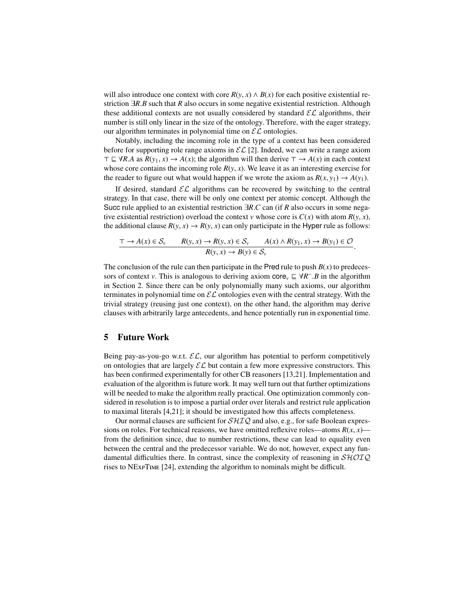will also introduce one context with core  $R(y, x) \wedge B(x)$  for each positive existential restriction <sup>∃</sup>*R*.*<sup>B</sup>* such that *<sup>R</sup>* also occurs in some negative existential restriction. Although these additional contexts are not usually considered by standard  $\mathcal{EL}$  algorithms, their number is still only linear in the size of the ontology. Therefore, with the eager strategy, our algorithm terminates in polynomial time on  $\mathcal{EL}$  ontologies.

Notably, including the incoming role in the type of a context has been considered before for supporting role range axioms in  $\mathcal{EL}[2]$  $\mathcal{EL}[2]$ . Indeed, we can write a range axiom  $\top \sqsubseteq \forall R.A \text{ as } R(y_1, x) \rightarrow A(x)$ ; the algorithm will then derive  $\top \rightarrow A(x)$  in each context whose core contains the incoming role  $R(y, x)$ . We leave it as an interesting exercise for the reader to figure out what would happen if we wrote the axiom as  $R(x, y_1) \rightarrow A(y_1)$ .

If desired, standard  $\mathcal{EL}$  algorithms can be recovered by switching to the central strategy. In that case, there will be only one context per atomic concept. Although the Succ rule applied to an existential restriction <sup>∃</sup>*R*.*<sup>C</sup>* can (if *<sup>R</sup>* also occurs in some negative existential restriction) overload the context *v* whose core is  $C(x)$  with atom  $R(y, x)$ , the additional clause  $R(y, x) \rightarrow R(y, x)$  can only participate in the Hyper rule as follows:

$$
\frac{\tau \to A(x) \in \mathcal{S}_v \qquad R(y, x) \to R(y, x) \in \mathcal{S}_v \qquad A(x) \land R(y_1, x) \to B(y_1) \in \mathcal{O}}{R(y, x) \to B(y) \in \mathcal{S}_v}
$$

The conclusion of the rule can then participate in the Pred rule to push  $B(x)$  to predecessors of context *v*. This is analogous to deriving axiom core<sub>*v*</sub>  $\subseteq \forall R^{-1}.B$  in the algorithm in Section 2. Since there can be only polynomially many such axioms, our algorithm in Section [2.](#page-0-0) Since there can be only polynomially many such axioms, our algorithm terminates in polynomial time on  $\mathcal{EL}$  ontologies even with the central strategy. With the trivial strategy (reusing just one context), on the other hand, the algorithm may derive clauses with arbitrarily large antecedents, and hence potentially run in exponential time.

## 5 Future Work

Being pay-as-you-go w.r.t.  $\mathcal{EL}$ , our algorithm has potential to perform competitively on ontologies that are largely  $\mathcal{EL}$  but contain a few more expressive constructors. This has been confirmed experimentally for other CB reasoners [\[13,](#page-11-2)[21\]](#page-12-4). Implementation and evaluation of the algorithm is future work. It may well turn out that further optimizations will be needed to make the algorithm really practical. One optimization commonly considered in resolution is to impose a partial order over literals and restrict rule application to maximal literals [\[4](#page-11-8)[,21\]](#page-12-4); it should be investigated how this affects completeness.

Our normal clauses are sufficient for  $\mathcal{SHIQ}$  and also, e.g., for safe Boolean expressions on roles. For technical reasons, we have omitted reflexive roles—atoms  $R(x, x)$  from the definition since, due to number restrictions, these can lead to equality even between the central and the predecessor variable. We do not, however, expect any fundamental difficulties there. In contrast, since the complexity of reasoning in  $\mathcal{SHOLQ}$ rises to NExpTime [\[24\]](#page-12-8), extending the algorithm to nominals might be difficult.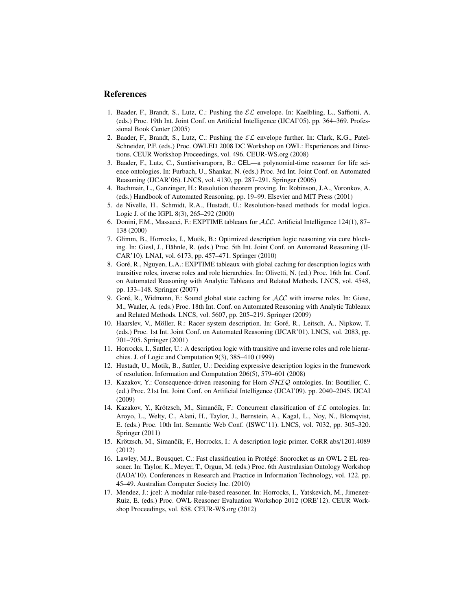## References

- <span id="page-11-3"></span>1. Baader, F., Brandt, S., Lutz, C.: Pushing the  $\mathcal{EL}$  envelope. In: Kaelbling, L., Saffiotti, A. (eds.) Proc. 19th Int. Joint Conf. on Artificial Intelligence (IJCAI'05). pp. 364–369. Professional Book Center (2005)
- <span id="page-11-16"></span>2. Baader, F., Brandt, S., Lutz, C.: Pushing the  $\mathcal{EL}$  envelope further. In: Clark, K.G., Patel-Schneider, P.F. (eds.) Proc. OWLED 2008 DC Workshop on OWL: Experiences and Directions. CEUR Workshop Proceedings, vol. 496. CEUR-WS.org (2008)
- <span id="page-11-4"></span>3. Baader, F., Lutz, C., Suntisrivaraporn, B.: CEL—a polynomial-time reasoner for life science ontologies. In: Furbach, U., Shankar, N. (eds.) Proc. 3rd Int. Joint Conf. on Automated Reasoning (IJCAR'06). LNCS, vol. 4130, pp. 287–291. Springer (2006)
- <span id="page-11-8"></span>4. Bachmair, L., Ganzinger, H.: Resolution theorem proving. In: Robinson, J.A., Voronkov, A. (eds.) Handbook of Automated Reasoning, pp. 19–99. Elsevier and MIT Press (2001)
- <span id="page-11-14"></span>5. de Nivelle, H., Schmidt, R.A., Hustadt, U.: Resolution-based methods for modal logics. Logic J. of the IGPL 8(3), 265–292 (2000)
- <span id="page-11-11"></span>6. Donini, F.M., Massacci, F.: EXPTIME tableaux for  $ALC$ . Artificial Intelligence 124(1), 87– 138 (2000)
- <span id="page-11-10"></span>7. Glimm, B., Horrocks, I., Motik, B.: Optimized description logic reasoning via core blocking. In: Giesl, J., Hähnle, R. (eds.) Proc. 5th Int. Joint Conf. on Automated Reasoning (IJ-CAR'10). LNAI, vol. 6173, pp. 457–471. Springer (2010)
- <span id="page-11-13"></span>8. Goré, R., Nguyen, L.A.: EXPTIME tableaux with global caching for description logics with transitive roles, inverse roles and role hierarchies. In: Olivetti, N. (ed.) Proc. 16th Int. Conf. on Automated Reasoning with Analytic Tableaux and Related Methods. LNCS, vol. 4548, pp. 133–148. Springer (2007)
- <span id="page-11-12"></span>9. Goré, R., Widmann, F.: Sound global state caching for  $ALC$  with inverse roles. In: Giese, M., Waaler, A. (eds.) Proc. 18th Int. Conf. on Automated Reasoning with Analytic Tableaux and Related Methods. LNCS, vol. 5607, pp. 205–219. Springer (2009)
- <span id="page-11-1"></span>10. Haarslev, V., Möller, R.: Racer system description. In: Goré, R., Leitsch, A., Nipkow, T. (eds.) Proc. 1st Int. Joint Conf. on Automated Reasoning (IJCAR'01). LNCS, vol. 2083, pp. 701–705. Springer (2001)
- <span id="page-11-9"></span>11. Horrocks, I., Sattler, U.: A description logic with transitive and inverse roles and role hierarchies. J. of Logic and Computation 9(3), 385–410 (1999)
- <span id="page-11-15"></span>12. Hustadt, U., Motik, B., Sattler, U.: Deciding expressive description logics in the framework of resolution. Information and Computation 206(5), 579–601 (2008)
- <span id="page-11-2"></span>13. Kazakov, Y.: Consequence-driven reasoning for Horn  $\mathcal{SHIQ}$  ontologies. In: Boutilier, C. (ed.) Proc. 21st Int. Joint Conf. on Artificial Intelligence (IJCAI'09). pp. 2040–2045. IJCAI (2009)
- <span id="page-11-5"></span>14. Kazakov, Y., Krötzsch, M., Simančík, F.: Concurrent classification of  $\mathcal{EL}$  ontologies. In: Aroyo, L., Welty, C., Alani, H., Taylor, J., Bernstein, A., Kagal, L., Noy, N., Blomqvist, E. (eds.) Proc. 10th Int. Semantic Web Conf. (ISWC'11). LNCS, vol. 7032, pp. 305–320. Springer (2011)
- <span id="page-11-0"></span>15. Krötzsch, M., Simančík, F., Horrocks, I.: A description logic primer. CoRR abs/1201.4089 (2012)
- <span id="page-11-7"></span>16. Lawley, M.J., Bousquet, C.: Fast classification in Protégé: Snorocket as an OWL 2 EL reasoner. In: Taylor, K., Meyer, T., Orgun, M. (eds.) Proc. 6th Australasian Ontology Workshop (IAOA'10). Conferences in Research and Practice in Information Technology, vol. 122, pp. 45–49. Australian Computer Society Inc. (2010)
- <span id="page-11-6"></span>17. Mendez, J.: jcel: A modular rule-based reasoner. In: Horrocks, I., Yatskevich, M., Jimenez-Ruiz, E. (eds.) Proc. OWL Reasoner Evaluation Workshop 2012 (ORE'12). CEUR Workshop Proceedings, vol. 858. CEUR-WS.org (2012)